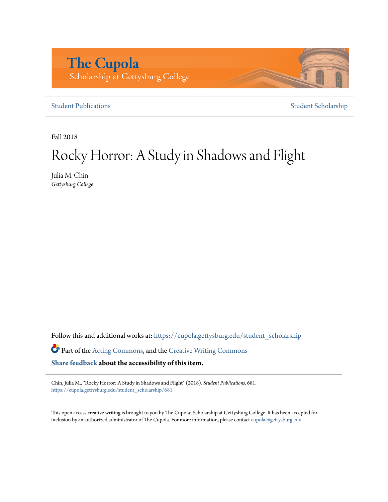# **The Cupola** Scholarship at Gettysburg College

[Student Publications](https://cupola.gettysburg.edu/student_scholarship?utm_source=cupola.gettysburg.edu%2Fstudent_scholarship%2F681&utm_medium=PDF&utm_campaign=PDFCoverPages) [Student Scholarship](https://cupola.gettysburg.edu/student?utm_source=cupola.gettysburg.edu%2Fstudent_scholarship%2F681&utm_medium=PDF&utm_campaign=PDFCoverPages)

Fall 2018

# Rocky Horror: A Study in Shadows and Flight

Julia M. Chin *Gettysburg College*

Follow this and additional works at: [https://cupola.gettysburg.edu/student\\_scholarship](https://cupola.gettysburg.edu/student_scholarship?utm_source=cupola.gettysburg.edu%2Fstudent_scholarship%2F681&utm_medium=PDF&utm_campaign=PDFCoverPages)

Part of the [Acting Commons,](http://network.bepress.com/hgg/discipline/1145?utm_source=cupola.gettysburg.edu%2Fstudent_scholarship%2F681&utm_medium=PDF&utm_campaign=PDFCoverPages) and the [Creative Writing Commons](http://network.bepress.com/hgg/discipline/574?utm_source=cupola.gettysburg.edu%2Fstudent_scholarship%2F681&utm_medium=PDF&utm_campaign=PDFCoverPages)

**[Share feedback](https://docs.google.com/a/bepress.com/forms/d/1h9eEcpBPj5POs5oO6Y5A0blXRmZqykoonyYiZUNyEq8/viewform) about the accessibility of this item.**

Chin, Julia M., "Rocky Horror: A Study in Shadows and Flight" (2018). *Student Publications*. 681. [https://cupola.gettysburg.edu/student\\_scholarship/681](https://cupola.gettysburg.edu/student_scholarship/681?utm_source=cupola.gettysburg.edu%2Fstudent_scholarship%2F681&utm_medium=PDF&utm_campaign=PDFCoverPages)

This open access creative writing is brought to you by The Cupola: Scholarship at Gettysburg College. It has been accepted for inclusion by an authorized administrator of The Cupola. For more information, please contact [cupola@gettysburg.edu.](mailto:cupola@gettysburg.edu)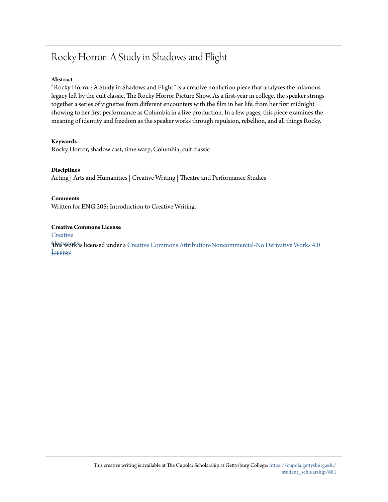# Rocky Horror: A Study in Shadows and Flight

#### **Abstract**

"Rocky Horror: A Study in Shadows and Flight" is a creative nonfiction piece that analyzes the infamous legacy left by the cult classic, The Rocky Horror Picture Show. As a first-year in college, the speaker strings together a series of vignettes from different encounters with the film in her life, from her first midnight showing to her first performance as Columbia in a live production. In a few pages, this piece examines the meaning of identity and freedom as the speaker works through repulsion, rebellion, and all things Rocky.

#### **Keywords**

Rocky Horror, shadow cast, time warp, Columbia, cult classic

#### **Disciplines**

Acting | Arts and Humanities | Creative Writing | Theatre and Performance Studies

**Comments**

Written for ENG 205: Introduction to Creative Writing.

#### **Creative Commons License**

**[Creative](https://creativecommons.org/licenses/by-nc-nd/4.0/)** 

 $\operatorname{F\!M\!B\!W\!O\!R\!S\!i}$  licensed under a [Creative Commons Attribution-Noncommercial-No Derivative Works 4.0](https://creativecommons.org/licenses/by-nc-nd/4.0/) License [License.](https://creativecommons.org/licenses/by-nc-nd/4.0/)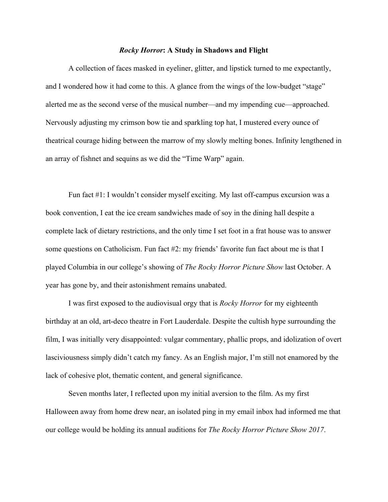## *Rocky Horror***: A Study in Shadows and Flight**

A collection of faces masked in eyeliner, glitter, and lipstick turned to me expectantly, and I wondered how it had come to this. A glance from the wings of the low-budget "stage" alerted me as the second verse of the musical number—and my impending cue—approached. Nervously adjusting my crimson bow tie and sparkling top hat, I mustered every ounce of theatrical courage hiding between the marrow of my slowly melting bones. Infinity lengthened in an array of fishnet and sequins as we did the "Time Warp" again.

Fun fact #1: I wouldn't consider myself exciting. My last off-campus excursion was a book convention, I eat the ice cream sandwiches made of soy in the dining hall despite a complete lack of dietary restrictions, and the only time I set foot in a frat house was to answer some questions on Catholicism. Fun fact #2: my friends' favorite fun fact about me is that I played Columbia in our college's showing of *The Rocky Horror Picture Show* last October. A year has gone by, and their astonishment remains unabated.

I was first exposed to the audiovisual orgy that is *Rocky Horror* for my eighteenth birthday at an old, art-deco theatre in Fort Lauderdale. Despite the cultish hype surrounding the film, I was initially very disappointed: vulgar commentary, phallic props, and idolization of overt lasciviousness simply didn't catch my fancy. As an English major, I'm still not enamored by the lack of cohesive plot, thematic content, and general significance.

Seven months later, I reflected upon my initial aversion to the film. As my first Halloween away from home drew near, an isolated ping in my email inbox had informed me that our college would be holding its annual auditions for *The Rocky Horror Picture Show 2017*.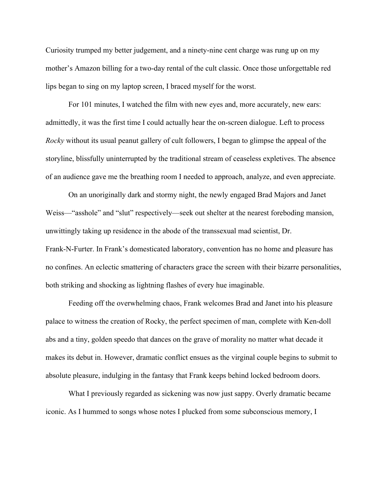Curiosity trumped my better judgement, and a ninety-nine cent charge was rung up on my mother's Amazon billing for a two-day rental of the cult classic. Once those unforgettable red lips began to sing on my laptop screen, I braced myself for the worst.

For 101 minutes, I watched the film with new eyes and, more accurately, new ears: admittedly, it was the first time I could actually hear the on-screen dialogue. Left to process *Rocky* without its usual peanut gallery of cult followers, I began to glimpse the appeal of the storyline, blissfully uninterrupted by the traditional stream of ceaseless expletives. The absence of an audience gave me the breathing room I needed to approach, analyze, and even appreciate.

On an unoriginally dark and stormy night, the newly engaged Brad Majors and Janet Weiss—"asshole" and "slut" respectively—seek out shelter at the nearest foreboding mansion, unwittingly taking up residence in the abode of the transsexual mad scientist, Dr. Frank-N-Furter. In Frank's domesticated laboratory, convention has no home and pleasure has no confines. An eclectic smattering of characters grace the screen with their bizarre personalities, both striking and shocking as lightning flashes of every hue imaginable.

Feeding off the overwhelming chaos, Frank welcomes Brad and Janet into his pleasure palace to witness the creation of Rocky, the perfect specimen of man, complete with Ken-doll abs and a tiny, golden speedo that dances on the grave of morality no matter what decade it makes its debut in. However, dramatic conflict ensues as the virginal couple begins to submit to absolute pleasure, indulging in the fantasy that Frank keeps behind locked bedroom doors.

What I previously regarded as sickening was now just sappy. Overly dramatic became iconic. As I hummed to songs whose notes I plucked from some subconscious memory, I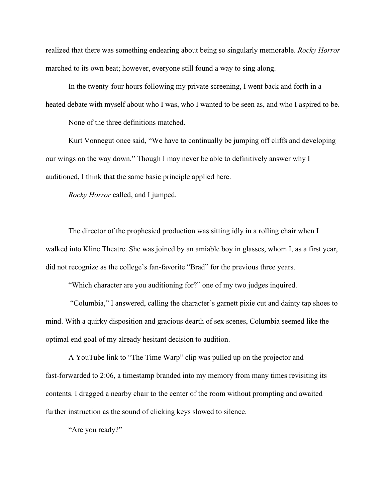realized that there was something endearing about being so singularly memorable. *Rocky Horror* marched to its own beat; however, everyone still found a way to sing along.

In the twenty-four hours following my private screening, I went back and forth in a heated debate with myself about who I was, who I wanted to be seen as, and who I aspired to be.

None of the three definitions matched.

Kurt Vonnegut once said, "We have to continually be jumping off cliffs and developing our wings on the way down." Though I may never be able to definitively answer why I auditioned, I think that the same basic principle applied here.

*Rocky Horror* called, and I jumped.

The director of the prophesied production was sitting idly in a rolling chair when I walked into Kline Theatre. She was joined by an amiable boy in glasses, whom I, as a first year, did not recognize as the college's fan-favorite "Brad" for the previous three years.

"Which character are you auditioning for?" one of my two judges inquired.

 "Columbia," I answered, calling the character's garnett pixie cut and dainty tap shoes to mind. With a quirky disposition and gracious dearth of sex scenes, Columbia seemed like the optimal end goal of my already hesitant decision to audition.

A YouTube link to "The Time Warp" clip was pulled up on the projector and fast-forwarded to 2:06, a timestamp branded into my memory from many times revisiting its contents. I dragged a nearby chair to the center of the room without prompting and awaited further instruction as the sound of clicking keys slowed to silence.

"Are you ready?"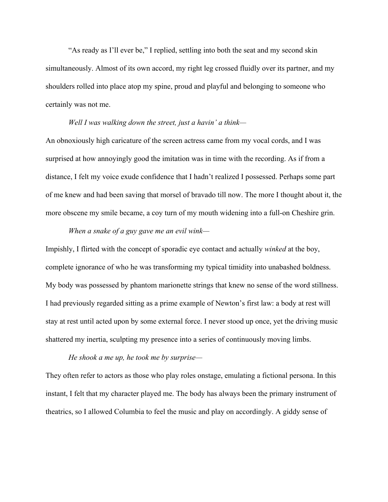"As ready as I'll ever be," I replied, settling into both the seat and my second skin simultaneously. Almost of its own accord, my right leg crossed fluidly over its partner, and my shoulders rolled into place atop my spine, proud and playful and belonging to someone who certainly was not me.

## *Well I was walking down the street, just a havin' a think—*

An obnoxiously high caricature of the screen actress came from my vocal cords, and I was surprised at how annoyingly good the imitation was in time with the recording. As if from a distance, I felt my voice exude confidence that I hadn't realized I possessed. Perhaps some part of me knew and had been saving that morsel of bravado till now. The more I thought about it, the more obscene my smile became, a coy turn of my mouth widening into a full-on Cheshire grin.

# *When a snake of a guy gave me an evil wink—*

Impishly, I flirted with the concept of sporadic eye contact and actually *winked* at the boy, complete ignorance of who he was transforming my typical timidity into unabashed boldness. My body was possessed by phantom marionette strings that knew no sense of the word stillness. I had previously regarded sitting as a prime example of Newton's first law: a body at rest will stay at rest until acted upon by some external force. I never stood up once, yet the driving music shattered my inertia, sculpting my presence into a series of continuously moving limbs.

## *He shook a me up, he took me by surprise—*

They often refer to actors as those who play roles onstage, emulating a fictional persona. In this instant, I felt that my character played me. The body has always been the primary instrument of theatrics, so I allowed Columbia to feel the music and play on accordingly. A giddy sense of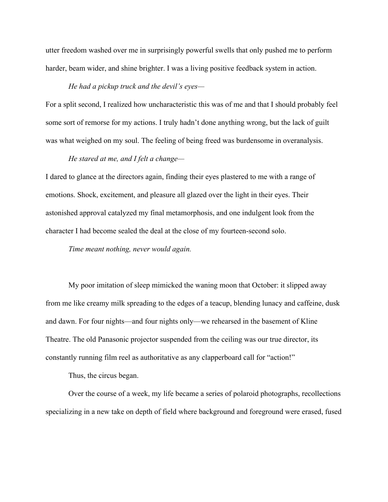utter freedom washed over me in surprisingly powerful swells that only pushed me to perform harder, beam wider, and shine brighter. I was a living positive feedback system in action.

### *He had a pickup truck and the devil's eyes—*

For a split second, I realized how uncharacteristic this was of me and that I should probably feel some sort of remorse for my actions. I truly hadn't done anything wrong, but the lack of guilt was what weighed on my soul. The feeling of being freed was burdensome in overanalysis.

#### *He stared at me, and I felt a change—*

I dared to glance at the directors again, finding their eyes plastered to me with a range of emotions. Shock, excitement, and pleasure all glazed over the light in their eyes. Their astonished approval catalyzed my final metamorphosis, and one indulgent look from the character I had become sealed the deal at the close of my fourteen-second solo.

*Time meant nothing, never would again.*

My poor imitation of sleep mimicked the waning moon that October: it slipped away from me like creamy milk spreading to the edges of a teacup, blending lunacy and caffeine, dusk and dawn. For four nights—and four nights only—we rehearsed in the basement of Kline Theatre. The old Panasonic projector suspended from the ceiling was our true director, its constantly running film reel as authoritative as any clapperboard call for "action!"

Thus, the circus began.

Over the course of a week, my life became a series of polaroid photographs, recollections specializing in a new take on depth of field where background and foreground were erased, fused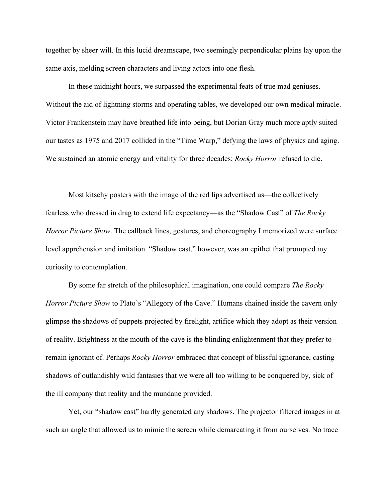together by sheer will. In this lucid dreamscape, two seemingly perpendicular plains lay upon the same axis, melding screen characters and living actors into one flesh.

In these midnight hours, we surpassed the experimental feats of true mad geniuses. Without the aid of lightning storms and operating tables, we developed our own medical miracle. Victor Frankenstein may have breathed life into being, but Dorian Gray much more aptly suited our tastes as 1975 and 2017 collided in the "Time Warp," defying the laws of physics and aging. We sustained an atomic energy and vitality for three decades; *Rocky Horror* refused to die.

Most kitschy posters with the image of the red lips advertised us—the collectively fearless who dressed in drag to extend life expectancy—as the "Shadow Cast" of *The Rocky Horror Picture Show*. The callback lines, gestures, and choreography I memorized were surface level apprehension and imitation. "Shadow cast," however, was an epithet that prompted my curiosity to contemplation.

By some far stretch of the philosophical imagination, one could compare *The Rocky Horror Picture Show* to Plato's "Allegory of the Cave." Humans chained inside the cavern only glimpse the shadows of puppets projected by firelight, artifice which they adopt as their version of reality. Brightness at the mouth of the cave is the blinding enlightenment that they prefer to remain ignorant of. Perhaps *Rocky Horror* embraced that concept of blissful ignorance, casting shadows of outlandishly wild fantasies that we were all too willing to be conquered by, sick of the ill company that reality and the mundane provided.

Yet, our "shadow cast" hardly generated any shadows. The projector filtered images in at such an angle that allowed us to mimic the screen while demarcating it from ourselves. No trace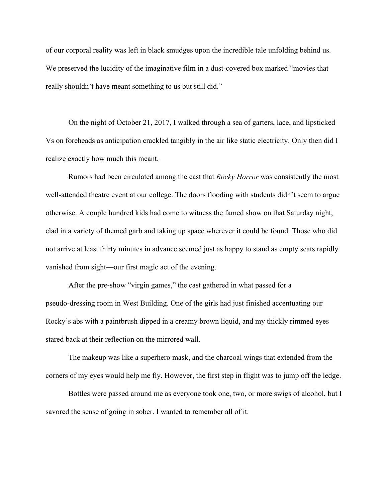of our corporal reality was left in black smudges upon the incredible tale unfolding behind us. We preserved the lucidity of the imaginative film in a dust-covered box marked "movies that really shouldn't have meant something to us but still did."

On the night of October 21, 2017, I walked through a sea of garters, lace, and lipsticked Vs on foreheads as anticipation crackled tangibly in the air like static electricity. Only then did I realize exactly how much this meant.

Rumors had been circulated among the cast that *Rocky Horror* was consistently the most well-attended theatre event at our college. The doors flooding with students didn't seem to argue otherwise. A couple hundred kids had come to witness the famed show on that Saturday night, clad in a variety of themed garb and taking up space wherever it could be found. Those who did not arrive at least thirty minutes in advance seemed just as happy to stand as empty seats rapidly vanished from sight—our first magic act of the evening.

After the pre-show "virgin games," the cast gathered in what passed for a pseudo-dressing room in West Building. One of the girls had just finished accentuating our Rocky's abs with a paintbrush dipped in a creamy brown liquid, and my thickly rimmed eyes stared back at their reflection on the mirrored wall.

The makeup was like a superhero mask, and the charcoal wings that extended from the corners of my eyes would help me fly. However, the first step in flight was to jump off the ledge.

Bottles were passed around me as everyone took one, two, or more swigs of alcohol, but I savored the sense of going in sober. I wanted to remember all of it.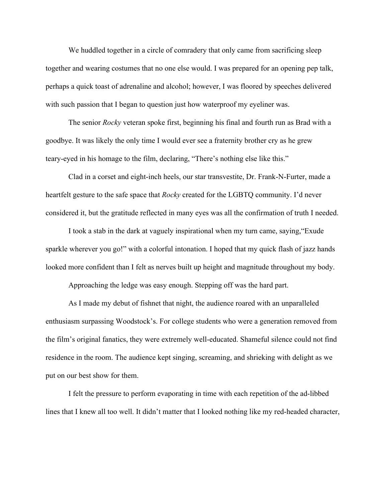We huddled together in a circle of comradery that only came from sacrificing sleep together and wearing costumes that no one else would. I was prepared for an opening pep talk, perhaps a quick toast of adrenaline and alcohol; however, I was floored by speeches delivered with such passion that I began to question just how waterproof my eyeliner was.

The senior *Rocky* veteran spoke first, beginning his final and fourth run as Brad with a goodbye. It was likely the only time I would ever see a fraternity brother cry as he grew teary-eyed in his homage to the film, declaring, "There's nothing else like this."

Clad in a corset and eight-inch heels, our star transvestite, Dr. Frank-N-Furter, made a heartfelt gesture to the safe space that *Rocky* created for the LGBTQ community. I'd never considered it, but the gratitude reflected in many eyes was all the confirmation of truth I needed.

I took a stab in the dark at vaguely inspirational when my turn came, saying,"Exude sparkle wherever you go!" with a colorful intonation. I hoped that my quick flash of jazz hands looked more confident than I felt as nerves built up height and magnitude throughout my body.

Approaching the ledge was easy enough. Stepping off was the hard part.

As I made my debut of fishnet that night, the audience roared with an unparalleled enthusiasm surpassing Woodstock's. For college students who were a generation removed from the film's original fanatics, they were extremely well-educated. Shameful silence could not find residence in the room. The audience kept singing, screaming, and shrieking with delight as we put on our best show for them.

I felt the pressure to perform evaporating in time with each repetition of the ad-libbed lines that I knew all too well. It didn't matter that I looked nothing like my red-headed character,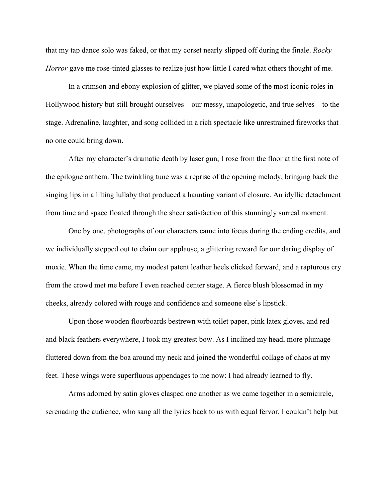that my tap dance solo was faked, or that my corset nearly slipped off during the finale. *Rocky Horror* gave me rose-tinted glasses to realize just how little I cared what others thought of me.

In a crimson and ebony explosion of glitter, we played some of the most iconic roles in Hollywood history but still brought ourselves—our messy, unapologetic, and true selves—to the stage. Adrenaline, laughter, and song collided in a rich spectacle like unrestrained fireworks that no one could bring down.

After my character's dramatic death by laser gun, I rose from the floor at the first note of the epilogue anthem. The twinkling tune was a reprise of the opening melody, bringing back the singing lips in a lilting lullaby that produced a haunting variant of closure. An idyllic detachment from time and space floated through the sheer satisfaction of this stunningly surreal moment.

One by one, photographs of our characters came into focus during the ending credits, and we individually stepped out to claim our applause, a glittering reward for our daring display of moxie. When the time came, my modest patent leather heels clicked forward, and a rapturous cry from the crowd met me before I even reached center stage. A fierce blush blossomed in my cheeks, already colored with rouge and confidence and someone else's lipstick.

Upon those wooden floorboards bestrewn with toilet paper, pink latex gloves, and red and black feathers everywhere, I took my greatest bow. As I inclined my head, more plumage fluttered down from the boa around my neck and joined the wonderful collage of chaos at my feet. These wings were superfluous appendages to me now: I had already learned to fly.

Arms adorned by satin gloves clasped one another as we came together in a semicircle, serenading the audience, who sang all the lyrics back to us with equal fervor. I couldn't help but